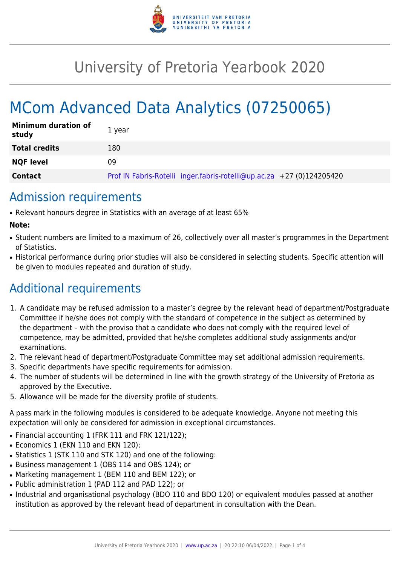

## University of Pretoria Yearbook 2020

# MCom Advanced Data Analytics (07250065)

| <b>Minimum duration of</b><br>study | 1 year                                                                |
|-------------------------------------|-----------------------------------------------------------------------|
| <b>Total credits</b>                | 180                                                                   |
| <b>NQF level</b>                    | 09                                                                    |
| <b>Contact</b>                      | Prof IN Fabris-Rotelli inger.fabris-rotelli@up.ac.za +27 (0)124205420 |

### Admission requirements

● Relevant honours degree in Statistics with an average of at least 65%

#### **Note:**

- Student numbers are limited to a maximum of 26, collectively over all master's programmes in the Department of Statistics.
- Historical performance during prior studies will also be considered in selecting students. Specific attention will be given to modules repeated and duration of study.

### Additional requirements

- 1. A candidate may be refused admission to a master's degree by the relevant head of department/Postgraduate Committee if he/she does not comply with the standard of competence in the subject as determined by the department – with the proviso that a candidate who does not comply with the required level of competence, may be admitted, provided that he/she completes additional study assignments and/or examinations.
- 2. The relevant head of department/Postgraduate Committee may set additional admission requirements.
- 3. Specific departments have specific requirements for admission.
- 4. The number of students will be determined in line with the growth strategy of the University of Pretoria as approved by the Executive.
- 5. Allowance will be made for the diversity profile of students.

A pass mark in the following modules is considered to be adequate knowledge. Anyone not meeting this expectation will only be considered for admission in exceptional circumstances.

- Financial accounting 1 (FRK 111 and FRK 121/122);
- Economics 1 (EKN 110 and EKN 120):
- Statistics 1 (STK 110 and STK 120) and one of the following:
- Business management 1 (OBS 114 and OBS 124); or
- Marketing management 1 (BEM 110 and BEM 122); or
- Public administration 1 (PAD 112 and PAD 122); or
- Industrial and organisational psychology (BDO 110 and BDO 120) or equivalent modules passed at another institution as approved by the relevant head of department in consultation with the Dean.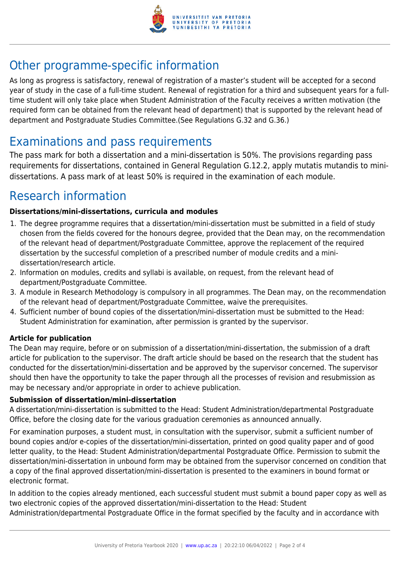

### Other programme-specific information

As long as progress is satisfactory, renewal of registration of a master's student will be accepted for a second year of study in the case of a full-time student. Renewal of registration for a third and subsequent years for a fulltime student will only take place when Student Administration of the Faculty receives a written motivation (the required form can be obtained from the relevant head of department) that is supported by the relevant head of department and Postgraduate Studies Committee.(See Regulations G.32 and G.36.)

### Examinations and pass requirements

The pass mark for both a dissertation and a mini-dissertation is 50%. The provisions regarding pass requirements for dissertations, contained in General Regulation G.12.2, apply mutatis mutandis to minidissertations. A pass mark of at least 50% is required in the examination of each module.

### Research information

#### **Dissertations/mini-dissertations, curricula and modules**

- 1. The degree programme requires that a dissertation/mini-dissertation must be submitted in a field of study chosen from the fields covered for the honours degree, provided that the Dean may, on the recommendation of the relevant head of department/Postgraduate Committee, approve the replacement of the required dissertation by the successful completion of a prescribed number of module credits and a minidissertation/research article.
- 2. Information on modules, credits and syllabi is available, on request, from the relevant head of department/Postgraduate Committee.
- 3. A module in Research Methodology is compulsory in all programmes. The Dean may, on the recommendation of the relevant head of department/Postgraduate Committee, waive the prerequisites.
- 4. Sufficient number of bound copies of the dissertation/mini-dissertation must be submitted to the Head: Student Administration for examination, after permission is granted by the supervisor.

#### **Article for publication**

The Dean may require, before or on submission of a dissertation/mini-dissertation, the submission of a draft article for publication to the supervisor. The draft article should be based on the research that the student has conducted for the dissertation/mini-dissertation and be approved by the supervisor concerned. The supervisor should then have the opportunity to take the paper through all the processes of revision and resubmission as may be necessary and/or appropriate in order to achieve publication.

#### **Submission of dissertation/mini-dissertation**

A dissertation/mini-dissertation is submitted to the Head: Student Administration/departmental Postgraduate Office, before the closing date for the various graduation ceremonies as announced annually.

For examination purposes, a student must, in consultation with the supervisor, submit a sufficient number of bound copies and/or e-copies of the dissertation/mini-dissertation, printed on good quality paper and of good letter quality, to the Head: Student Administration/departmental Postgraduate Office. Permission to submit the dissertation/mini-dissertation in unbound form may be obtained from the supervisor concerned on condition that a copy of the final approved dissertation/mini-dissertation is presented to the examiners in bound format or electronic format.

In addition to the copies already mentioned, each successful student must submit a bound paper copy as well as two electronic copies of the approved dissertation/mini-dissertation to the Head: Student

Administration/departmental Postgraduate Office in the format specified by the faculty and in accordance with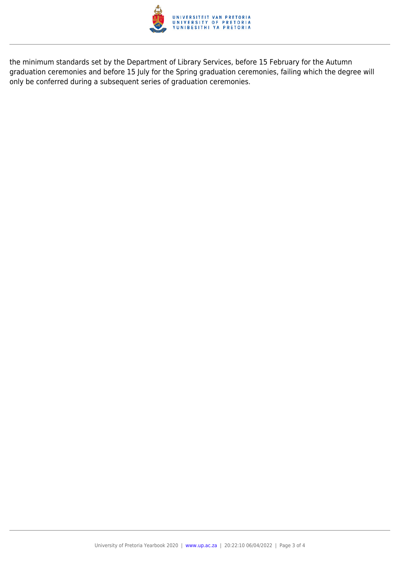

the minimum standards set by the Department of Library Services, before 15 February for the Autumn graduation ceremonies and before 15 July for the Spring graduation ceremonies, failing which the degree will only be conferred during a subsequent series of graduation ceremonies.